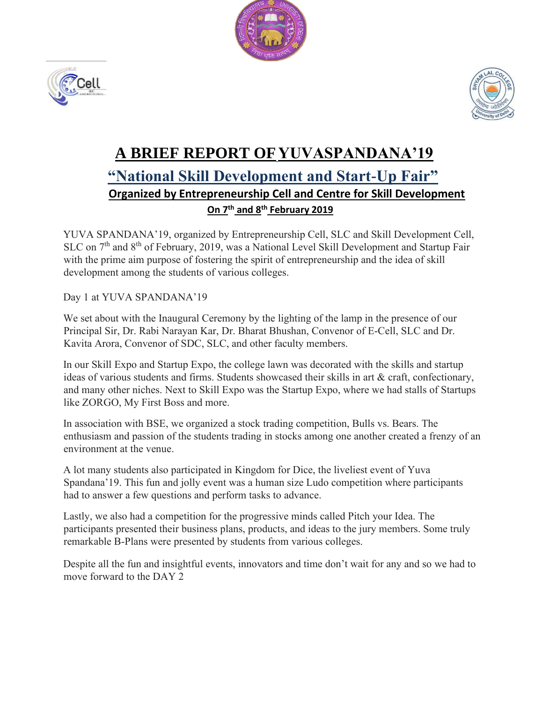





## **A BRIEF REPORT OF YUVASPANDANA'19 "National Skill Development and Start-Up Fair" Organized by Entrepreneurship Cell and Centre for Skill Development On 7th and 8th February 2019**

YUVA SPANDANA'19, organized by Entrepreneurship Cell, SLC and Skill Development Cell, SLC on 7<sup>th</sup> and 8<sup>th</sup> of February, 2019, was a National Level Skill Development and Startup Fair with the prime aim purpose of fostering the spirit of entrepreneurship and the idea of skill development among the students of various colleges.

Day 1 at YUVA SPANDANA'19

We set about with the Inaugural Ceremony by the lighting of the lamp in the presence of our Principal Sir, Dr. Rabi Narayan Kar, Dr. Bharat Bhushan, Convenor of E-Cell, SLC and Dr. Kavita Arora, Convenor of SDC, SLC, and other faculty members.

In our Skill Expo and Startup Expo, the college lawn was decorated with the skills and startup ideas of various students and firms. Students showcased their skills in art & craft, confectionary, and many other niches. Next to Skill Expo was the Startup Expo, where we had stalls of Startups like ZORGO, My First Boss and more.

In association with BSE, we organized a stock trading competition, Bulls vs. Bears. The enthusiasm and passion of the students trading in stocks among one another created a frenzy of an environment at the venue.

A lot many students also participated in Kingdom for Dice, the liveliest event of Yuva Spandana'19. This fun and jolly event was a human size Ludo competition where participants had to answer a few questions and perform tasks to advance.

Lastly, we also had a competition for the progressive minds called Pitch your Idea. The participants presented their business plans, products, and ideas to the jury members. Some truly remarkable B-Plans were presented by students from various colleges.

Despite all the fun and insightful events, innovators and time don't wait for any and so we had to move forward to the DAY 2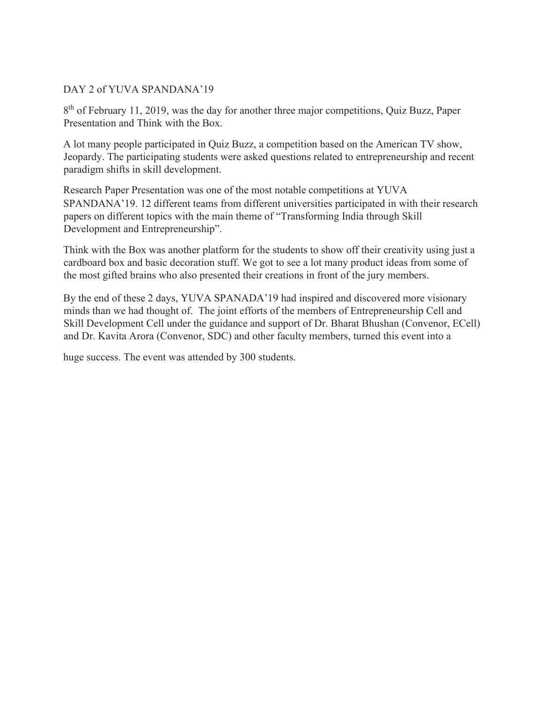## DAY 2 of YUVA SPANDANA'19

8<sup>th</sup> of February 11, 2019, was the day for another three major competitions, Quiz Buzz, Paper Presentation and Think with the Box.

A lot many people participated in Quiz Buzz, a competition based on the American TV show, Jeopardy. The participating students were asked questions related to entrepreneurship and recent paradigm shifts in skill development.

Research Paper Presentation was one of the most notable competitions at YUVA SPANDANA'19. 12 different teams from different universities participated in with their research papers on different topics with the main theme of "Transforming India through Skill Development and Entrepreneurship".

Think with the Box was another platform for the students to show off their creativity using just a cardboard box and basic decoration stuff. We got to see a lot many product ideas from some of the most gifted brains who also presented their creations in front of the jury members.

By the end of these 2 days, YUVA SPANADA'19 had inspired and discovered more visionary minds than we had thought of. The joint efforts of the members of Entrepreneurship Cell and Skill Development Cell under the guidance and support of Dr. Bharat Bhushan (Convenor, ECell) and Dr. Kavita Arora (Convenor, SDC) and other faculty members, turned this event into a

huge success. The event was attended by 300 students.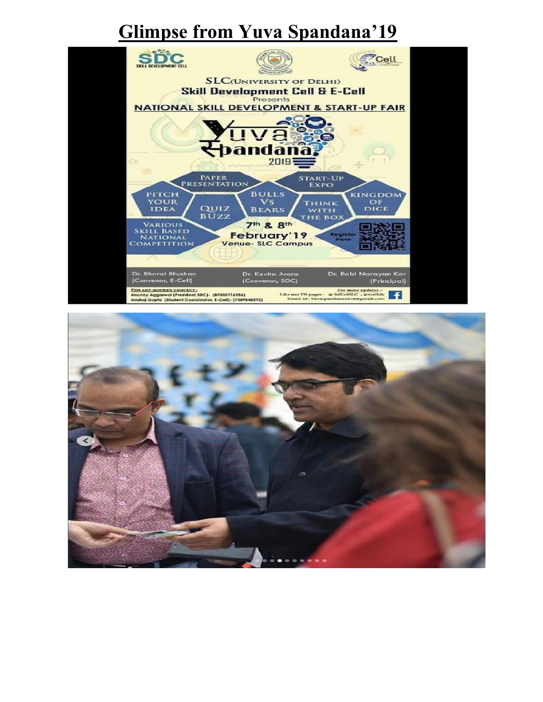## **Glimpse from Yuva Spandana'19**



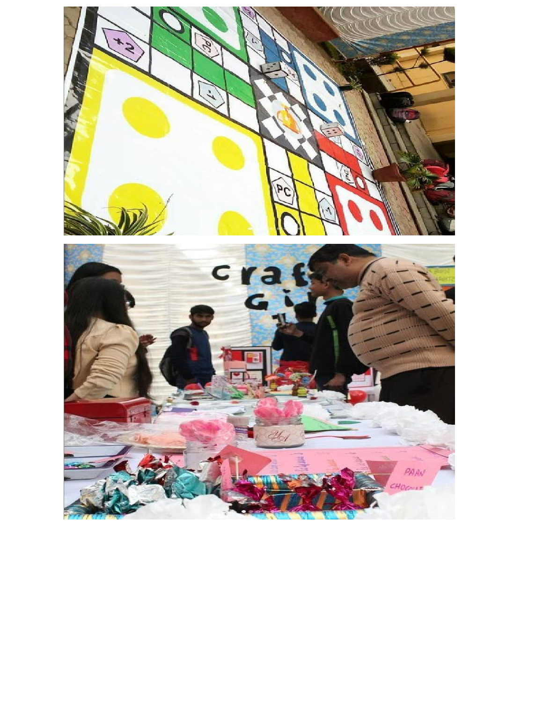

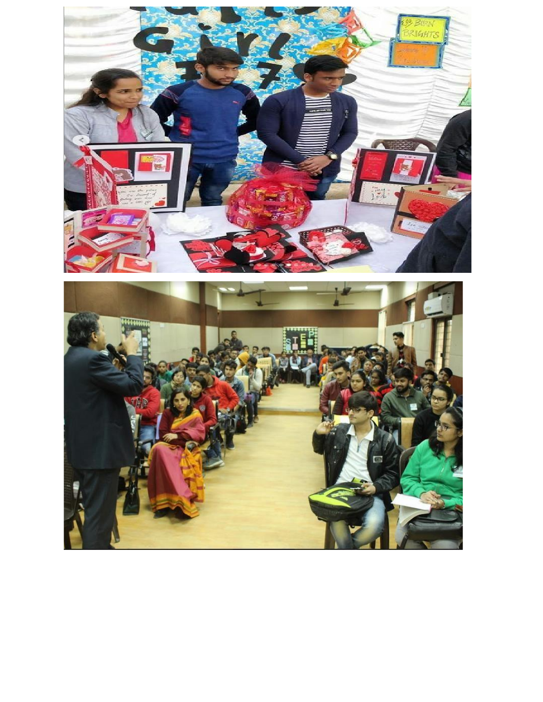

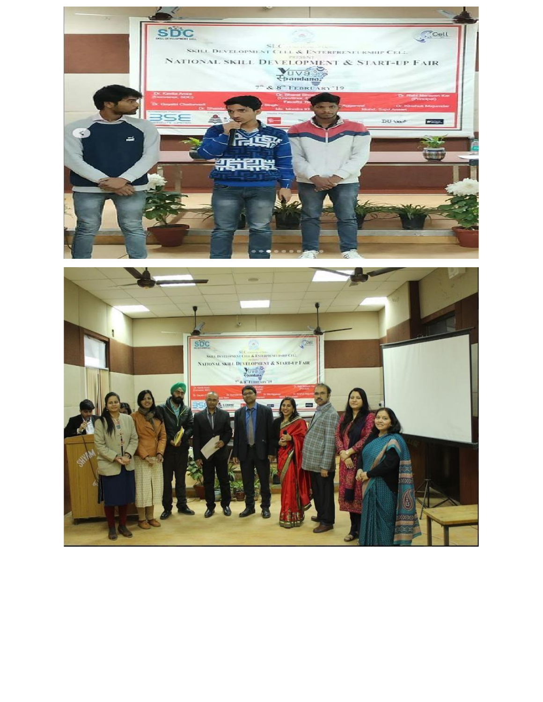